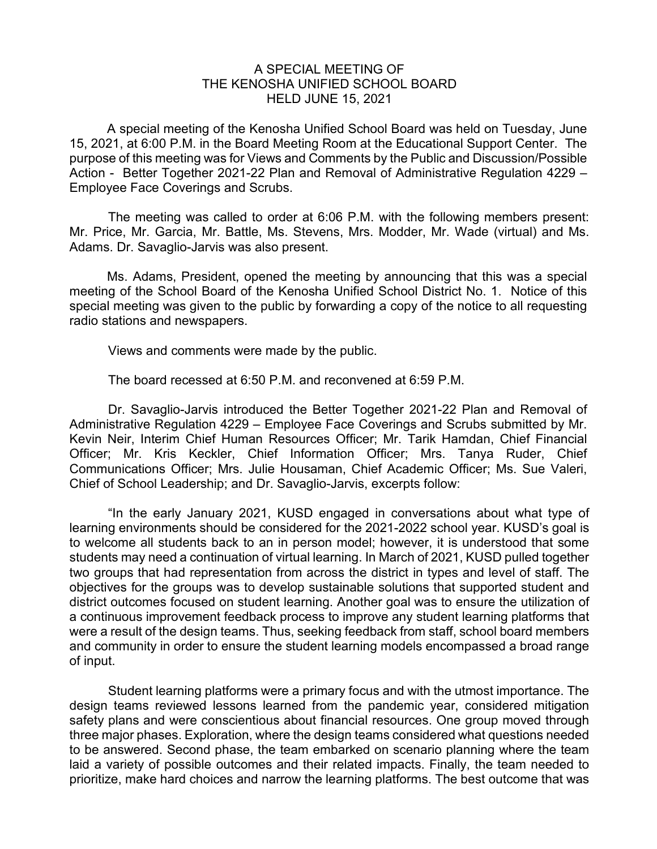## A SPECIAL MEETING OF THE KENOSHA UNIFIED SCHOOL BOARD HELD JUNE 15, 2021

A special meeting of the Kenosha Unified School Board was held on Tuesday, June 15, 2021, at 6:00 P.M. in the Board Meeting Room at the Educational Support Center. The purpose of this meeting was for Views and Comments by the Public and Discussion/Possible Action - Better Together 2021-22 Plan and Removal of Administrative Regulation 4229 – Employee Face Coverings and Scrubs.

The meeting was called to order at 6:06 P.M. with the following members present: Mr. Price, Mr. Garcia, Mr. Battle, Ms. Stevens, Mrs. Modder, Mr. Wade (virtual) and Ms. Adams. Dr. Savaglio-Jarvis was also present.

Ms. Adams, President, opened the meeting by announcing that this was a special meeting of the School Board of the Kenosha Unified School District No. 1. Notice of this special meeting was given to the public by forwarding a copy of the notice to all requesting radio stations and newspapers.

Views and comments were made by the public.

The board recessed at 6:50 P.M. and reconvened at 6:59 P.M.

Dr. Savaglio-Jarvis introduced the Better Together 2021-22 Plan and Removal of Administrative Regulation 4229 – Employee Face Coverings and Scrubs submitted by Mr. Kevin Neir, Interim Chief Human Resources Officer; Mr. Tarik Hamdan, Chief Financial Officer; Mr. Kris Keckler, Chief Information Officer; Mrs. Tanya Ruder, Chief Communications Officer; Mrs. Julie Housaman, Chief Academic Officer; Ms. Sue Valeri, Chief of School Leadership; and Dr. Savaglio-Jarvis, excerpts follow:

"In the early January 2021, KUSD engaged in conversations about what type of learning environments should be considered for the 2021-2022 school year. KUSD's goal is to welcome all students back to an in person model; however, it is understood that some students may need a continuation of virtual learning. In March of 2021, KUSD pulled together two groups that had representation from across the district in types and level of staff. The objectives for the groups was to develop sustainable solutions that supported student and district outcomes focused on student learning. Another goal was to ensure the utilization of a continuous improvement feedback process to improve any student learning platforms that were a result of the design teams. Thus, seeking feedback from staff, school board members and community in order to ensure the student learning models encompassed a broad range of input.

Student learning platforms were a primary focus and with the utmost importance. The design teams reviewed lessons learned from the pandemic year, considered mitigation safety plans and were conscientious about financial resources. One group moved through three major phases. Exploration, where the design teams considered what questions needed to be answered. Second phase, the team embarked on scenario planning where the team laid a variety of possible outcomes and their related impacts. Finally, the team needed to prioritize, make hard choices and narrow the learning platforms. The best outcome that was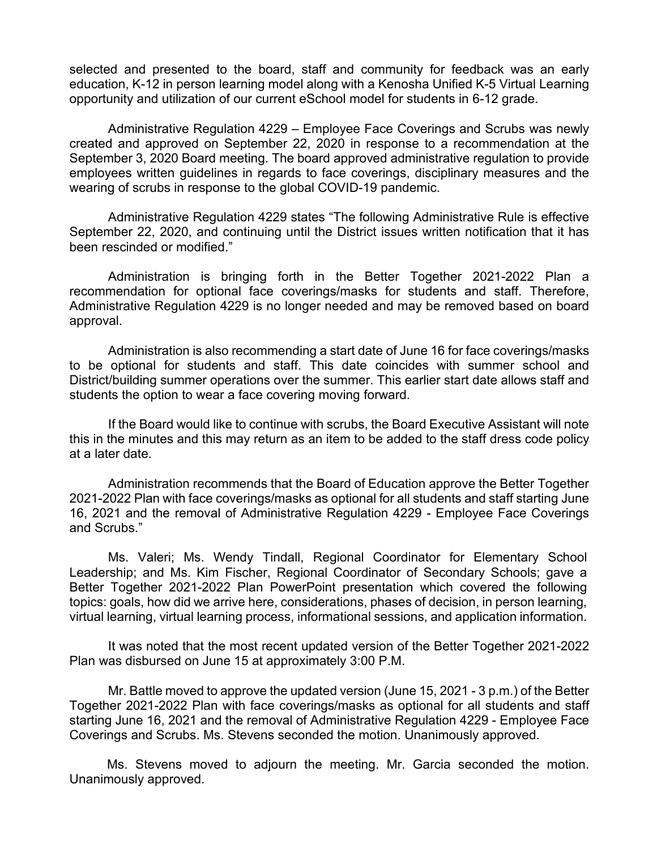selected and presented to the board, staff and community for feedback was an early education, K-12 in person learning model along with a Kenosha Unified K-5 Virtual Learning opportunity and utilization of our current eSchool model for students in 6-12 grade.

Administrative Regulation 4229 – Employee Face Coverings and Scrubs was newly created and approved on September 22, 2020 in response to a recommendation at the September 3, 2020 Board meeting. The board approved administrative regulation to provide employees written guidelines in regards to face coverings, disciplinary measures and the wearing of scrubs in response to the global COVID-19 pandemic.

Administrative Regulation 4229 states "The following Administrative Rule is effective September 22, 2020, and continuing until the District issues written notification that it has been rescinded or modified."

Administration is bringing forth in the Better Together 2021-2022 Plan a recommendation for optional face coverings/masks for students and staff. Therefore, Administrative Regulation 4229 is no longer needed and may be removed based on board approval.

Administration is also recommending a start date of June 16 for face coverings/masks to be optional for students and staff. This date coincides with summer school and District/building summer operations over the summer. This earlier start date allows staff and students the option to wear a face covering moving forward.

If the Board would like to continue with scrubs, the Board Executive Assistant will note this in the minutes and this may return as an item to be added to the staff dress code policy at a later date.

Administration recommends that the Board of Education approve the Better Together 2021-2022 Plan with face coverings/masks as optional for all students and staff starting June 16, 2021 and the removal of Administrative Regulation 4229 - Employee Face Coverings and Scrubs."

Ms. Valeri; Ms. Wendy Tindall, Regional Coordinator for Elementary School Leadership; and Ms. Kim Fischer, Regional Coordinator of Secondary Schools; gave a Better Together 2021-2022 Plan PowerPoint presentation which covered the following topics: goals, how did we arrive here, considerations, phases of decision, in person learning, virtual learning, virtual learning process, informational sessions, and application information.

It was noted that the most recent updated version of the Better Together 2021-2022 Plan was disbursed on June 15 at approximately 3:00 P.M.

Mr. Battle moved to approve the updated version (June 15, 2021 - 3 p.m.) of the Better Together 2021-2022 Plan with face coverings/masks as optional for all students and staff starting June 16, 2021 and the removal of Administrative Regulation 4229 - Employee Face Coverings and Scrubs. Ms. Stevens seconded the motion. Unanimously approved.

Ms. Stevens moved to adjourn the meeting. Mr. Garcia seconded the motion. Unanimously approved.